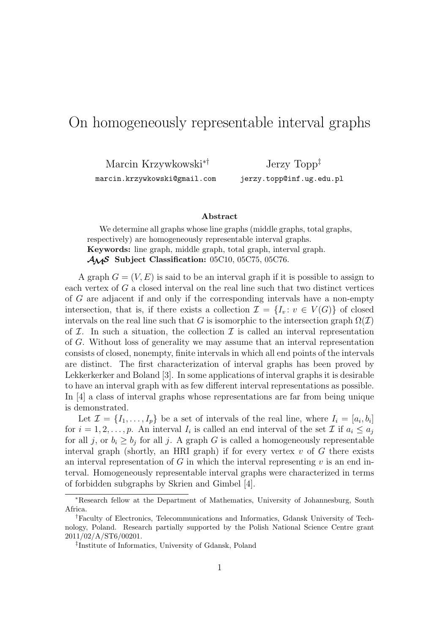## On homogeneously representable interval graphs

Marcin Krzywkowski∗†

marcin.krzywkowski@gmail.com

Jerzy Topp‡ jerzy.topp@inf.ug.edu.pl

## **Abstract**

We determine all graphs whose line graphs (middle graphs, total graphs, respectively) are homogeneously representable interval graphs. **Keywords:** line graph, middle graph, total graph, interval graph. AMS **Subject Classification:** 05C10, 05C75, 05C76.

A graph  $G = (V, E)$  is said to be an interval graph if it is possible to assign to each vertex of G a closed interval on the real line such that two distinct vertices of G are adjacent if and only if the corresponding intervals have a non-empty intersection, that is, if there exists a collection  $\mathcal{I} = \{I_v : v \in V(G)\}\$  of closed intervals on the real line such that G is isomorphic to the intersection graph  $\Omega(\mathcal{I})$ of  $I$ . In such a situation, the collection  $I$  is called an interval representation of G. Without loss of generality we may assume that an interval representation consists of closed, nonempty, finite intervals in which all end points of the intervals are distinct. The first characterization of interval graphs has been proved by Lekkerkerker and Boland [3]. In some applications of interval graphs it is desirable to have an interval graph with as few different interval representations as possible. In [4] a class of interval graphs whose representations are far from being unique is demonstrated.

Let  $\mathcal{I} = \{I_1, \ldots, I_p\}$  be a set of intervals of the real line, where  $I_i = [a_i, b_i]$ for  $i = 1, 2, \ldots, p$ . An interval  $I_i$  is called an end interval of the set  $\mathcal I$  if  $a_i \leq a_j$ for all j, or  $b_i \geq b_j$  for all j. A graph G is called a homogeneously representable interval graph (shortly, an HRI graph) if for every vertex  $v$  of  $G$  there exists an interval representation of G in which the interval representing  $v$  is an end interval. Homogeneously representable interval graphs were characterized in terms of forbidden subgraphs by Skrien and Gimbel [4].

<sup>∗</sup>Research fellow at the Department of Mathematics, University of Johannesburg, South Africa.

<sup>†</sup>Faculty of Electronics, Telecommunications and Informatics, Gdansk University of Technology, Poland. Research partially supported by the Polish National Science Centre grant 2011/02/A/ST6/00201.

<sup>‡</sup> Institute of Informatics, University of Gdansk, Poland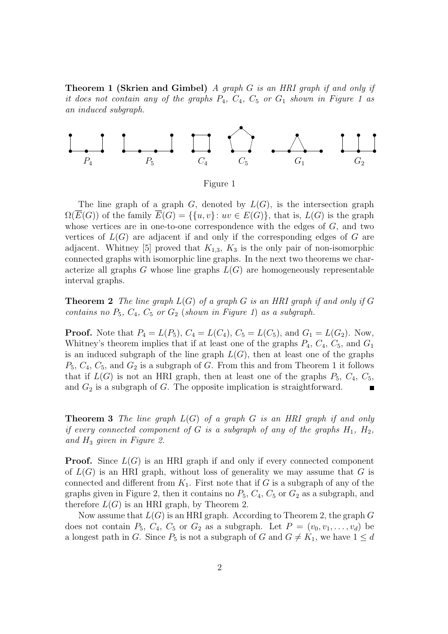**Theorem 1 (Skrien and Gimbel)** *A graph* G *is an HRI graph if and only if it does not contain any of the graphs*  $P_4$ ,  $C_4$ ,  $C_5$  *or*  $G_1$  *shown in Figure 1 as an induced subgraph.*



The line graph of a graph  $G$ , denoted by  $L(G)$ , is the intersection graph  $\Omega(\overline{E}(G))$  of the family  $\overline{E}(G) = \{\{u, v\} : uv \in E(G)\}\$ , that is,  $L(G)$  is the graph whose vertices are in one-to-one correspondence with the edges of  $G$ , and two vertices of  $L(G)$  are adjacent if and only if the corresponding edges of G are adjacent. Whitney [5] proved that  $K_{1,3}$ ,  $K_3$  is the only pair of non-isomorphic connected graphs with isomorphic line graphs. In the next two theorems we characterize all graphs  $G$  whose line graphs  $L(G)$  are homogeneously representable interval graphs.

**Theorem 2** *The line graph* L(G) *of a graph* G *is an HRI graph if and only if* G *contains no*  $P_5$ ,  $C_4$ ,  $C_5$  *or*  $G_2$  (*shown in Figure 1*) *as a subgraph.* 

**Proof.** Note that  $P_4 = L(P_5)$ ,  $C_4 = L(C_4)$ ,  $C_5 = L(C_5)$ , and  $G_1 = L(G_2)$ . Now, Whitney's theorem implies that if at least one of the graphs  $P_4$ ,  $C_4$ ,  $C_5$ , and  $G_1$ is an induced subgraph of the line graph  $L(G)$ , then at least one of the graphs  $P_5, C_4, C_5$ , and  $G_2$  is a subgraph of G. From this and from Theorem 1 it follows that if  $L(G)$  is not an HRI graph, then at least one of the graphs  $P_5$ ,  $C_4$ ,  $C_5$ , and  $G_2$  is a subgraph of  $G$ . The opposite implication is straightforward.  $\blacksquare$ 

**Theorem 3** *The line graph* L(G) *of a graph* G *is an HRI graph if and only if every connected component of* G *is a subgraph of any of the graphs*  $H_1$ ,  $H_2$ , *and* H<sup>3</sup> *given in Figure 2.*

**Proof.** Since  $L(G)$  is an HRI graph if and only if every connected component of  $L(G)$  is an HRI graph, without loss of generality we may assume that G is connected and different from  $K_1$ . First note that if G is a subgraph of any of the graphs given in Figure 2, then it contains no  $P_5$ ,  $C_4$ ,  $C_5$  or  $G_2$  as a subgraph, and therefore  $L(G)$  is an HRI graph, by Theorem 2.

Now assume that  $L(G)$  is an HRI graph. According to Theorem 2, the graph G does not contain  $P_5$ ,  $C_4$ ,  $C_5$  or  $G_2$  as a subgraph. Let  $P = (v_0, v_1, \ldots, v_d)$  be a longest path in G. Since  $P_5$  is not a subgraph of G and  $G \neq K_1$ , we have  $1 \leq d$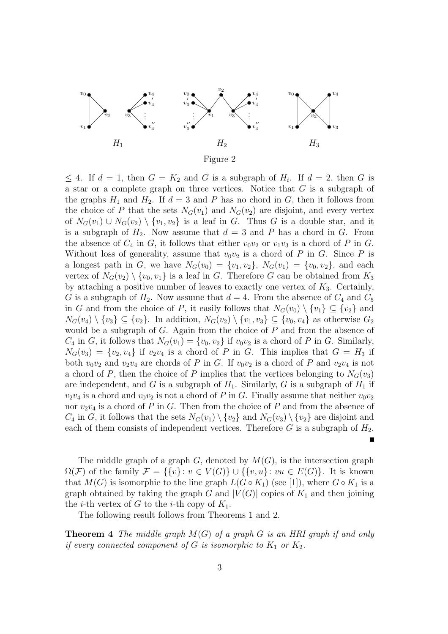

 $\leq 4$ . If  $d = 1$ , then  $G = K_2$  and G is a subgraph of  $H_i$ . If  $d = 2$ , then G is a star or a complete graph on three vertices. Notice that G is a subgraph of the graphs  $H_1$  and  $H_2$ . If  $d = 3$  and P has no chord in G, then it follows from the choice of P that the sets  $N_G(v_1)$  and  $N_G(v_2)$  are disjoint, and every vertex of  $N_G(v_1) \cup N_G(v_2) \setminus \{v_1, v_2\}$  is a leaf in G. Thus G is a double star, and it is a subgraph of  $H_2$ . Now assume that  $d = 3$  and P has a chord in G. From the absence of  $C_4$  in  $G$ , it follows that either  $v_0v_2$  or  $v_1v_3$  is a chord of P in  $G$ . Without loss of generality, assume that  $v_0v_2$  is a chord of P in G. Since P is a longest path in G, we have  $N_G(v_0) = \{v_1, v_2\}$ ,  $N_G(v_1) = \{v_0, v_2\}$ , and each vertex of  $N_G(v_2) \setminus \{v_0, v_1\}$  is a leaf in G. Therefore G can be obtained from  $K_3$ by attaching a positive number of leaves to exactly one vertex of  $K_3$ . Certainly, G is a subgraph of  $H_2$ . Now assume that  $d = 4$ . From the absence of  $C_4$  and  $C_5$ in G and from the choice of P, it easily follows that  $N_G(v_0) \setminus \{v_1\} \subseteq \{v_2\}$  and  $N_G(v_4) \setminus \{v_3\} \subseteq \{v_2\}.$  In addition,  $N_G(v_2) \setminus \{v_1, v_3\} \subseteq \{v_0, v_4\}$  as otherwise  $G_2$ would be a subgraph of  $G$ . Again from the choice of  $P$  and from the absence of  $C_4$  in G, it follows that  $N_G(v_1) = \{v_0, v_2\}$  if  $v_0v_2$  is a chord of P in G. Similarly,  $N_G(v_3) = \{v_2, v_4\}$  if  $v_2v_4$  is a chord of P in G. This implies that  $G = H_3$  if both  $v_0v_2$  and  $v_2v_4$  are chords of P in G. If  $v_0v_2$  is a chord of P and  $v_2v_4$  is not a chord of P, then the choice of P implies that the vertices belonging to  $N_G(v_3)$ are independent, and G is a subgraph of  $H_1$ . Similarly, G is a subgraph of  $H_1$  if  $v_2v_4$  is a chord and  $v_0v_2$  is not a chord of P in G. Finally assume that neither  $v_0v_2$ nor  $v_2v_4$  is a chord of P in G. Then from the choice of P and from the absence of  $C_4$  in G, it follows that the sets  $N_G(v_1) \setminus \{v_2\}$  and  $N_G(v_3) \setminus \{v_2\}$  are disjoint and each of them consists of independent vertices. Therefore  $G$  is a subgraph of  $H_2$ . П

The middle graph of a graph  $G$ , denoted by  $M(G)$ , is the intersection graph  $\Omega(\mathcal{F})$  of the family  $\mathcal{F} = \{\{v\}: v \in V(G)\} \cup \{\{v, u\}: vu \in E(G)\}.$  It is known that  $M(G)$  is isomorphic to the line graph  $L(G \circ K_1)$  (see [1]), where  $G \circ K_1$  is a graph obtained by taking the graph G and  $|V(G)|$  copies of  $K_1$  and then joining the *i*-th vertex of G to the *i*-th copy of  $K_1$ .

The following result follows from Theorems 1 and 2.

**Theorem 4** *The middle graph* M(G) *of a graph* G *is an HRI graph if and only if every connected component of*  $G$  *is isomorphic to*  $K_1$  *or*  $K_2$ *.*